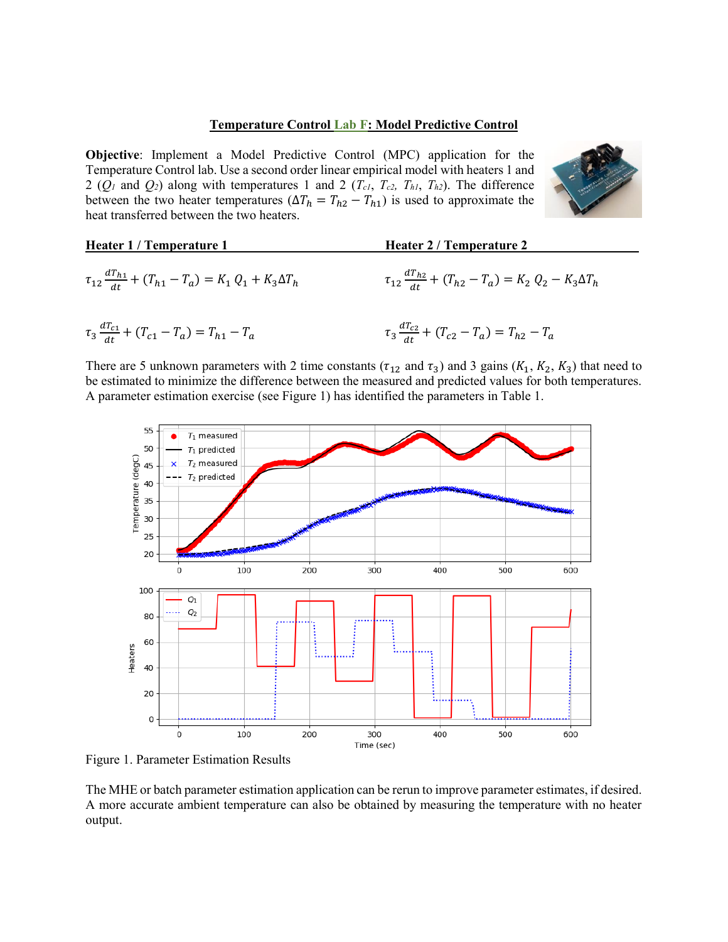## **Temperature Control Lab F: Model Predictive Control**

**Objective**: Implement a Model Predictive Control (MPC) application for the Temperature Control lab. Use a second order linear empirical model with heaters 1 and 2 ( $Q_I$  and  $Q_2$ ) along with temperatures 1 and 2 ( $T_{cI}$ ,  $T_{c2}$ ,  $T_{h1}$ ,  $T_{h2}$ ). The difference between the two heater temperatures ( $\Delta T_h = T_{h2} - T_{h1}$ ) is used to approximate the heat transferred between the two heaters.



| Heater 1 / Temperature 1                                                   | Heater 2 / Temperature 2                                                    |
|----------------------------------------------------------------------------|-----------------------------------------------------------------------------|
| $\tau_{12} \frac{dT_{h1}}{dt} + (T_{h1} - T_a) = K_1 Q_1 + K_3 \Delta T_h$ | $\tau_{12} \frac{d T_{h2}}{dt} + (T_{h2} - T_a) = K_2 Q_2 - K_3 \Delta T_h$ |
| $\tau_3 \frac{a_1_{c1}}{dt} + (T_{c1} - T_a) = T_{h1} - T_a$               | $\tau_3 \frac{d T_{c2}}{dt} + (T_{c2} - T_a) = T_{h2} - T_a$                |

There are 5 unknown parameters with 2 time constants ( $\tau_{12}$  and  $\tau_3$ ) and 3 gains ( $K_1, K_2, K_3$ ) that need to be estimated to minimize the difference between the measured and predicted values for both temperatures. A parameter estimation exercise (see Figure 1) has identified the parameters in Table 1.



Figure 1. Parameter Estimation Results

The MHE or batch parameter estimation application can be rerun to improve parameter estimates, if desired. A more accurate ambient temperature can also be obtained by measuring the temperature with no heater output.